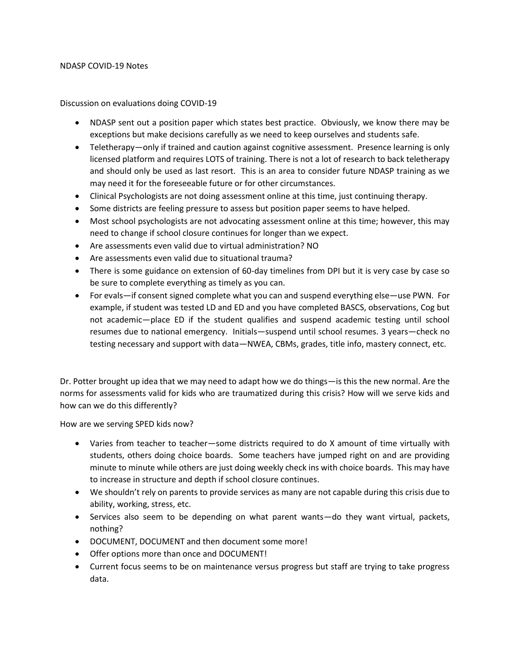## NDASP COVID-19 Notes

Discussion on evaluations doing COVID-19

- NDASP sent out a position paper which states best practice. Obviously, we know there may be exceptions but make decisions carefully as we need to keep ourselves and students safe.
- Teletherapy—only if trained and caution against cognitive assessment. Presence learning is only licensed platform and requires LOTS of training. There is not a lot of research to back teletherapy and should only be used as last resort. This is an area to consider future NDASP training as we may need it for the foreseeable future or for other circumstances.
- Clinical Psychologists are not doing assessment online at this time, just continuing therapy.
- Some districts are feeling pressure to assess but position paper seems to have helped.
- Most school psychologists are not advocating assessment online at this time; however, this may need to change if school closure continues for longer than we expect.
- Are assessments even valid due to virtual administration? NO
- Are assessments even valid due to situational trauma?
- There is some guidance on extension of 60-day timelines from DPI but it is very case by case so be sure to complete everything as timely as you can.
- For evals—if consent signed complete what you can and suspend everything else—use PWN. For example, if student was tested LD and ED and you have completed BASCS, observations, Cog but not academic—place ED if the student qualifies and suspend academic testing until school resumes due to national emergency. Initials—suspend until school resumes. 3 years—check no testing necessary and support with data—NWEA, CBMs, grades, title info, mastery connect, etc.

Dr. Potter brought up idea that we may need to adapt how we do things—is this the new normal. Are the norms for assessments valid for kids who are traumatized during this crisis? How will we serve kids and how can we do this differently?

How are we serving SPED kids now?

- Varies from teacher to teacher—some districts required to do X amount of time virtually with students, others doing choice boards. Some teachers have jumped right on and are providing minute to minute while others are just doing weekly check ins with choice boards. This may have to increase in structure and depth if school closure continues.
- We shouldn't rely on parents to provide services as many are not capable during this crisis due to ability, working, stress, etc.
- Services also seem to be depending on what parent wants—do they want virtual, packets, nothing?
- DOCUMENT, DOCUMENT and then document some more!
- Offer options more than once and DOCUMENT!
- Current focus seems to be on maintenance versus progress but staff are trying to take progress data.